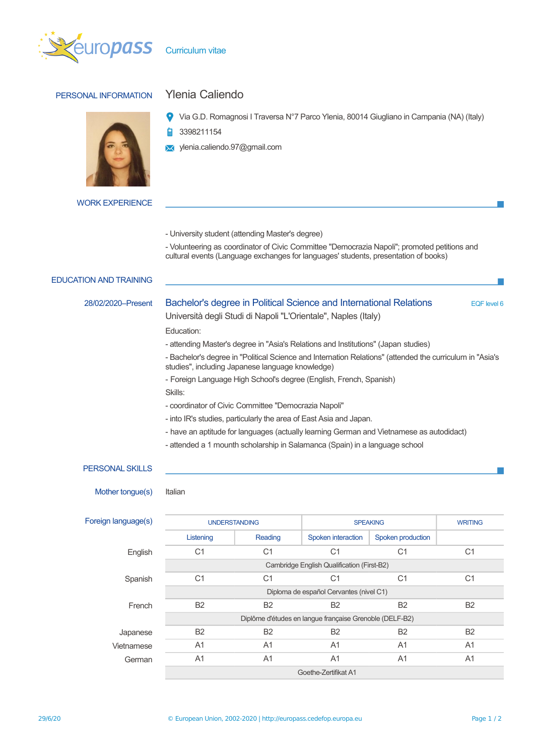

# PERSONAL INFORMATION Ylenia Caliendo

Via G.D. Romagnosi I Traversa N°7 Parco Ylenia, 80014 Giugliano in Campania (NA) (Italy)

Þ 3398211154

- ylenia.caliendo.97@gmail.com
- WORK EXPERIENCE
- University student (attending Master's degree)
- Volunteering as coordinator of Civic Committee "Democrazia Napoli"; promoted petitions and cultural events (Language exchanges for languages' students, presentation of books)

## EDUCATION AND TRAINING

28/02/2020–Present Bachelor's degree in Political Science and International Relations EQF level 6

Università degli Studi di Napoli "L'Orientale", Naples (Italy)

Education:

- attending Master's degree in "Asia's Relations and Institutions" (Japan studies)
- Bachelor's degree in "Political Science and Internation Relations" (attended the curriculum in "Asia's studies", including Japanese language knowledge)
- Foreign Language High School's degree (English, French, Spanish)
- Skills:
- coordinator of Civic Committee "Democrazia Napoli"
- into IR's studies, particularly the area of East Asia and Japan.
- have an aptitude for languages (actually learning German and Vietnamese as autodidact)
- attended a 1 mounth scholarship in Salamanca (Spain) in a language school

### PERSONAL SKILLS

Mother tongue(s) Italian

| Foreign language(s) | <b>UNDERSTANDING</b>                                    |                | <b>SPEAKING</b>    |                   | <b>WRITING</b> |  |
|---------------------|---------------------------------------------------------|----------------|--------------------|-------------------|----------------|--|
|                     | Listening                                               | Reading        | Spoken interaction | Spoken production |                |  |
| English             | C <sub>1</sub>                                          | C <sub>1</sub> | C <sub>1</sub>     | C <sub>1</sub>    | C <sub>1</sub> |  |
|                     | Cambridge English Qualification (First-B2)              |                |                    |                   |                |  |
| Spanish             | C <sub>1</sub>                                          | C <sub>1</sub> | C <sub>1</sub>     | C <sub>1</sub>    | C <sub>1</sub> |  |
|                     | Diploma de español Cervantes (nivel C1)                 |                |                    |                   |                |  |
| French              | <b>B2</b>                                               | <b>B2</b>      | <b>B2</b>          | <b>B2</b>         | <b>B2</b>      |  |
|                     | Diplôme d'études en langue française Grenoble (DELF-B2) |                |                    |                   |                |  |
| Japanese            | <b>B2</b>                                               | <b>B2</b>      | <b>B2</b>          | <b>B2</b>         | <b>B2</b>      |  |
| Vietnamese          | A <sub>1</sub>                                          | A <sub>1</sub> | A <sub>1</sub>     | A <sub>1</sub>    | A <sub>1</sub> |  |
| German              | A <sub>1</sub>                                          | A <sub>1</sub> | A <sub>1</sub>     | A <sub>1</sub>    | A <sub>1</sub> |  |
|                     | Goethe-Zertifikat A1                                    |                |                    |                   |                |  |